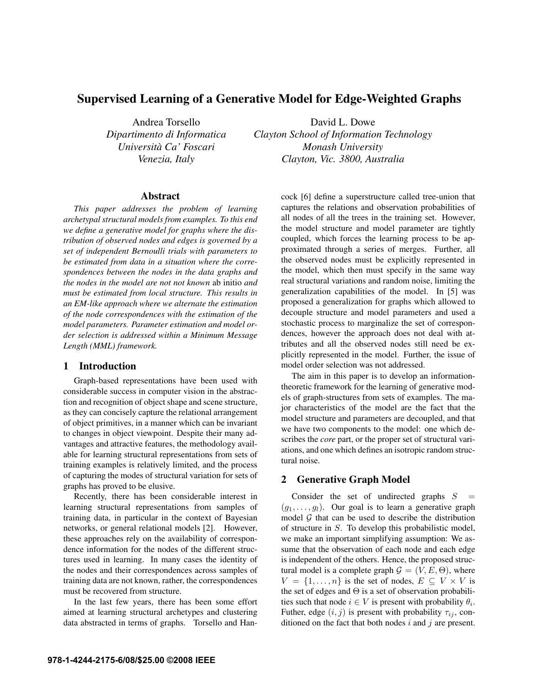# Supervised Learning of a Generative Model for Edge-Weighted Graphs

Andrea Torsello *Dipartimento di Informatica Universita Ca' Foscari ` Venezia, Italy*

David L. Dowe

*Clayton School of Information Technology Monash University Clayton, Vic. 3800, Australia*

### Abstract

*This paper addresses the problem of learning archetypal structural models from examples. To this end we define a generative model for graphs where the distribution of observed nodes and edges is governed by a set of independent Bernoulli trials with parameters to be estimated from data in a situation where the correspondences between the nodes in the data graphs and the nodes in the model are not not known* ab initio *and must be estimated from local structure. This results in an EM-like approach where we alternate the estimation of the node correspondences with the estimation of the model parameters. Parameter estimation and model order selection is addressed within a Minimum Message Length (MML) framework.*

## 1 Introduction

Graph-based representations have been used with considerable success in computer vision in the abstraction and recognition of object shape and scene structure, as they can concisely capture the relational arrangement of object primitives, in a manner which can be invariant to changes in object viewpoint. Despite their many advantages and attractive features, the methodology available for learning structural representations from sets of training examples is relatively limited, and the process of capturing the modes of structural variation for sets of graphs has proved to be elusive.

Recently, there has been considerable interest in learning structural representations from samples of training data, in particular in the context of Bayesian networks, or general relational models [2]. However, these approaches rely on the availability of correspondence information for the nodes of the different structures used in learning. In many cases the identity of the nodes and their correspondences across samples of training data are not known, rather, the correspondences must be recovered from structure.

In the last few years, there has been some effort aimed at learning structural archetypes and clustering data abstracted in terms of graphs. Torsello and Hancock [6] define a superstructure called tree-union that captures the relations and observation probabilities of all nodes of all the trees in the training set. However, the model structure and model parameter are tightly coupled, which forces the learning process to be approximated through a series of merges. Further, all the observed nodes must be explicitly represented in the model, which then must specify in the same way real structural variations and random noise, limiting the generalization capabilities of the model. In [5] was proposed a generalization for graphs which allowed to decouple structure and model parameters and used a stochastic process to marginalize the set of correspondences, however the approach does not deal with attributes and all the observed nodes still need be explicitly represented in the model. Further, the issue of model order selection was not addressed.

The aim in this paper is to develop an informationtheoretic framework for the learning of generative models of graph-structures from sets of examples. The major characteristics of the model are the fact that the model structure and parameters are decoupled, and that we have two components to the model: one which describes the *core* part, or the proper set of structural variations, and one which defines an isotropic random structural noise.

# 2 Generative Graph Model

Consider the set of undirected graphs  $S =$  $(g_1, \ldots, g_l)$ . Our goal is to learn a generative graph model  $G$  that can be used to describe the distribution of structure in S. To develop this probabilistic model, we make an important simplifying assumption: We assume that the observation of each node and each edge is independent of the others. Hence, the proposed structural model is a complete graph  $\mathcal{G} = (V, E, \Theta)$ , where  $V = \{1, \ldots, n\}$  is the set of nodes,  $E \subseteq V \times V$  is the set of edges and  $\Theta$  is a set of observation probabilities such that node  $i \in V$  is present with probability  $\theta_i$ . Futher, edge  $(i, j)$  is present with probability  $\tau_{ij}$ , conditioned on the fact that both nodes  $i$  and  $j$  are present.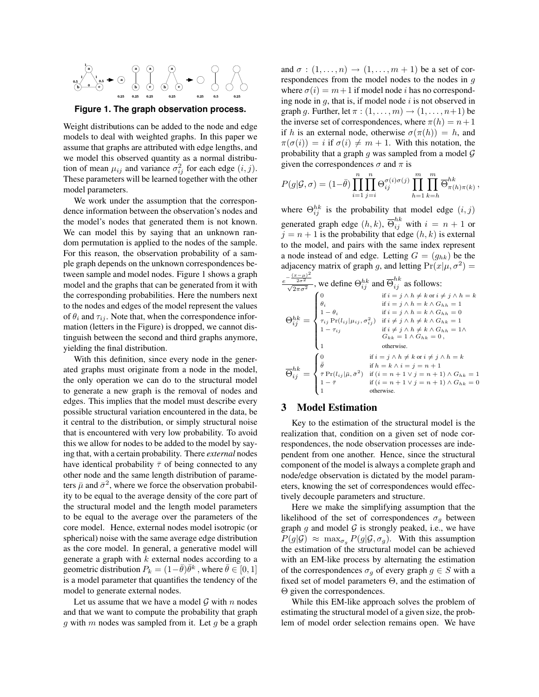

**Figure 1. The graph observation process.**

Weight distributions can be added to the node and edge models to deal with weighted graphs. In this paper we assume that graphs are attributed with edge lengths, and we model this observed quantity as a normal distribution of mean  $\mu_{ij}$  and variance  $\sigma_{ij}^2$  for each edge  $(i, j)$ . These parameters will be learned together with the other model parameters.

We work under the assumption that the correspondence information between the observation's nodes and the model's nodes that generated them is not known. We can model this by saying that an unknown random permutation is applied to the nodes of the sample. For this reason, the observation probability of a sample graph depends on the unknown correspondences between sample and model nodes. Figure 1 shows a graph model and the graphs that can be generated from it with the corresponding probabilities. Here the numbers next to the nodes and edges of the model represent the values of  $\theta_i$  and  $\tau_{ij}$ . Note that, when the correspondence information (letters in the Figure) is dropped, we cannot distinguish between the second and third graphs anymore, yielding the final distribution.

With this definition, since every node in the generated graphs must originate from a node in the model, the only operation we can do to the structural model to generate a new graph is the removal of nodes and edges. This implies that the model must describe every possible structural variation encountered in the data, be it central to the distribution, or simply structural noise that is encountered with very low probability. To avoid this we allow for nodes to be added to the model by saying that, with a certain probability. There *external* nodes have identical probability  $\bar{\tau}$  of being connected to any other node and the same length distribution of parameters  $\bar{\mu}$  and  $\bar{\sigma}^2$ , where we force the observation probability to be equal to the average density of the core part of the structural model and the length model parameters to be equal to the average over the parameters of the core model. Hence, external nodes model isotropic (or spherical) noise with the same average edge distribution as the core model. In general, a generative model will generate a graph with  $k$  external nodes according to a geometric distribution  $P_k = (1-\bar{\theta})\bar{\theta}^k$ , where  $\bar{\theta} \in [0,1]$ is a model parameter that quantifies the tendency of the model to generate external nodes.

Let us assume that we have a model  $G$  with n nodes and that we want to compute the probability that graph g with m nodes was sampled from it. Let g be a graph and  $\sigma : (1, \ldots, n) \rightarrow (1, \ldots, m + 1)$  be a set of correspondences from the model nodes to the nodes in g where  $\sigma(i) = m+1$  if model node i has no corresponding node in  $q$ , that is, if model node  $i$  is not observed in graph g. Further, let  $\pi$  :  $(1, \ldots, m) \rightarrow (1, \ldots, n+1)$  be the inverse set of correspondences, where  $\pi(h) = n+1$ if h is an external node, otherwise  $\sigma(\pi(h)) = h$ , and  $\pi(\sigma(i)) = i$  if  $\sigma(i) \neq m + 1$ . With this notation, the probability that a graph  $g$  was sampled from a model  $\mathcal G$ given the correspondences  $\sigma$  and  $\pi$  is

$$
P(g|\mathcal{G}, \sigma) = (1-\bar{\theta}) \prod_{i=1}^n \prod_{j=i}^n \Theta_{ij}^{\sigma(i)\sigma(j)} \prod_{h=1}^m \prod_{k=h}^m \overline{\Theta}_{\pi(h)\pi(k)}^{hk},
$$

where  $\Theta_{ij}^{hk}$  is the probability that model edge  $(i, j)$ generated graph edge  $(h, k)$ ,  $\overline{\Theta}_{ij}^{hk}$  with  $i = n + 1$  or  $j = n + 1$  is the probability that edge  $(h, k)$  is external to the model, and pairs with the same index represent a node instead of and edge. Letting  $G = (g_{hk})$  be the adjacency matrix of graph g, and letting  $Pr(x|\mu, \sigma^2)$  =

$$
\Theta_{ij}^{hk} = \begin{cases}\n\frac{e^{-\frac{(x-\mu)^2}{2\sigma^2}}}{\sqrt{2\pi\sigma^2}}, & \text{we define }\Theta_{ij}^{hk} \text{ and } \overline{\Theta}_{ij}^{hk} \text{ as follows:} \\
\theta_i & \text{if } i = j \land h \neq k \text{ or } i \neq j \land h = k \\
1 - \theta_i & \text{if } i = j \land h = k \land G_{hh} = 1 \\
\tau_{ij} \Pr(l_{ij}|\mu_{ij}, \sigma_{ij}^2) & \text{if } i \neq j \land h \neq k \land G_{hk} = 1 \\
1 - \tau_{ij} & \text{if } i \neq j \land h \neq k \land G_{hh} = 1 \land \\
1 - \tau_{ij} & \text{if } i \neq j \land h \neq k \land G_{hh} = 1 \land \\
\tau_{ik} = 1 \land G_{hk} = 0, & \text{otherwise.} \\
1 & \text{otherwise.} \\
\overline{\Theta}_{ij}^{hk} = \begin{cases}\n0 & \text{if } i = j \land h \neq k \text{ or } i \neq j \land h = k \\
\overline{\theta} & \text{if } h = k \land i = j = n + 1 \\
\overline{\tau} & \text{if } h = k \land i = j = n + 1 \\
1 - \overline{\tau} & \text{if } (i = n + 1 \lor j = n + 1) \land G_{hk} = 0 \\
1 & \text{otherwise.} \\
1 - \overline{\tau} & \text{if } (i = n + 1 \lor j = n + 1) \land G_{hk} = 0\n\end{cases}\n\end{cases}
$$

## 3 Model Estimation

Key to the estimation of the structural model is the realization that, condition on a given set of node correspondences, the node observation processes are independent from one another. Hence, since the structural component of the model is always a complete graph and node/edge observation is dictated by the model parameters, knowing the set of correspondences would effectively decouple parameters and structure.

Here we make the simplifying assumption that the likelihood of the set of correspondences  $\sigma_g$  between graph  $g$  and model  $G$  is strongly peaked, i.e., we have  $P(g|\mathcal{G}) \approx \max_{\sigma_g} P(g|\mathcal{G}, \sigma_g)$ . With this assumption the estimation of the structural model can be achieved with an EM-like process by alternating the estimation of the correspondences  $\sigma_q$  of every graph  $g \in S$  with a fixed set of model parameters Θ, and the estimation of Θ given the correspondences.

While this EM-like approach solves the problem of estimating the structural model of a given size, the problem of model order selection remains open. We have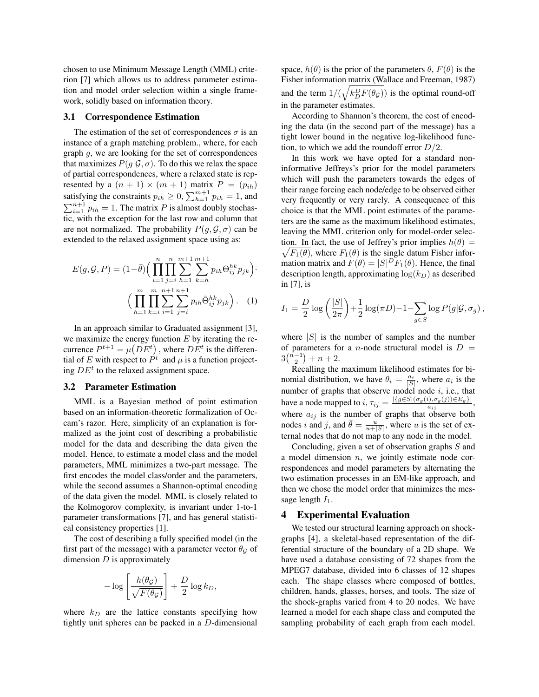chosen to use Minimum Message Length (MML) criterion [7] which allows us to address parameter estimation and model order selection within a single framework, solidly based on information theory.

#### 3.1 Correspondence Estimation

The estimation of the set of correspondences  $\sigma$  is an instance of a graph matching problem., where, for each graph g, we are looking for the set of correspondences that maximizes  $P(g|\mathcal{G}, \sigma)$ . To do this we relax the space of partial correspondences, where a relaxed state is represented by a  $(n + 1) \times (m + 1)$  matrix  $P = (p_{ih})$ satisfying the constraints  $p_{ih} \geq 0$ ,  $\sum_{h=1}^{m+1} p_{ih} = 1$ , and  $\sum_{i=1}^{n+1} p_{ih} = 1$ . The matrix P is almost doubly stochastic, with the exception for the last row and column that are not normalized. The probability  $P(q, \mathcal{G}, \sigma)$  can be extended to the relaxed assignment space using as:

$$
E(g, \mathcal{G}, P) = (1 - \bar{\theta}) \Big( \prod_{i=1}^{n} \prod_{j=i}^{n} \sum_{h=1}^{m+1} \sum_{k=h}^{m+1} p_{ih} \Theta_{ij}^{hk} p_{jk} \Big) \cdot \Big( \prod_{h=1}^{m} \prod_{k=i}^{m} \sum_{i=1}^{n+1} \sum_{j=i}^{n+1} p_{ih} \bar{\Theta}_{ij}^{hk} p_{jk} \Big) \cdot (1)
$$

In an approach similar to Graduated assignment [3], we maximize the energy function  $E$  by iterating the recurrence  $P^{t+1} = \mu(DE^t)$ , where  $DE^t$  is the differential of E with respect to  $P<sup>t</sup>$  and  $\mu$  is a function projecting  $DE<sup>t</sup>$  to the relaxed assignment space.

#### 3.2 Parameter Estimation

MML is a Bayesian method of point estimation based on an information-theoretic formalization of Occam's razor. Here, simplicity of an explanation is formalized as the joint cost of describing a probabilistic model for the data and describing the data given the model. Hence, to estimate a model class and the model parameters, MML minimizes a two-part message. The first encodes the model class/order and the parameters, while the second assumes a Shannon-optimal encoding of the data given the model. MML is closely related to the Kolmogorov complexity, is invariant under 1-to-1 parameter transformations [7], and has general statistical consistency properties [1].

The cost of describing a fully specified model (in the first part of the message) with a parameter vector  $\theta_G$  of dimension  $D$  is approximately

$$
-\log\left[\frac{h(\theta_{\mathcal{G}})}{\sqrt{F(\theta_{\mathcal{G}})}}\right] + \frac{D}{2}\log k_D,
$$

where  $k_D$  are the lattice constants specifying how tightly unit spheres can be packed in a D-dimensional space,  $h(\theta)$  is the prior of the parameters  $\theta$ ,  $F(\theta)$  is the Fisher information matrix (Wallace and Freeman, 1987) and the term  $1/(\sqrt{k_D^D F(\theta_G)})$  is the optimal round-off in the parameter estimates.

According to Shannon's theorem, the cost of encoding the data (in the second part of the message) has a tight lower bound in the negative log-likelihood function, to which we add the roundoff error  $D/2$ .

In this work we have opted for a standard noninformative Jeffreys's prior for the model parameters which will push the parameters towards the edges of their range forcing each node/edge to be observed either very frequently or very rarely. A consequence of this choice is that the MML point estimates of the parameters are the same as the maximum likelihood estimates, leaving the MML criterion only for model-order selection. In fact, the use of Jeffrey's prior implies  $h(\theta) =$  $\sqrt{F_1(\theta)}$ , where  $F_1(\theta)$  is the single datum Fisher information matrix and  $F(\theta) = |S|^D F_1(\theta)$ . Hence, the final description length, approximating  $\log(k_D)$  as described in [7], is

$$
I_1 = \frac{D}{2}\log\left(\frac{|S|}{2\pi}\right) + \frac{1}{2}\log(\pi D) - 1 - \sum_{g \in S}\log P(g|\mathcal{G}, \sigma_g),
$$

where  $|S|$  is the number of samples and the number of parameters for a *n*-node structural model is  $D =$  $3\binom{n-1}{2} + n + 2.$ 

Recalling the maximum likelihood estimates for binomial distribution, we have  $\theta_i = \frac{a_i}{|S|}$ , where  $a_i$  is the number of graphs that observe model node  $i$ , i.e., that have a node mapped to  $i, \tau_{ij} = \frac{|\{g \in S | (\sigma_g(i), \sigma_g(j)) \in E_g\}|}{a_{ij}},$ where  $a_{ij}$  is the number of graphs that observe both nodes i and j, and  $\bar{\theta} = \frac{u}{u+|S|}$ , where u is the set of external nodes that do not map to any node in the model.

Concluding, given a set of observation graphs S and a model dimension  $n$ , we jointly estimate node correspondences and model parameters by alternating the two estimation processes in an EM-like approach, and then we chose the model order that minimizes the message length  $I_1$ .

# 4 Experimental Evaluation

We tested our structural learning approach on shockgraphs [4], a skeletal-based representation of the differential structure of the boundary of a 2D shape. We have used a database consisting of 72 shapes from the MPEG7 database, divided into 6 classes of 12 shapes each. The shape classes where composed of bottles, children, hands, glasses, horses, and tools. The size of the shock-graphs varied from 4 to 20 nodes. We have learned a model for each shape class and computed the sampling probability of each graph from each model.